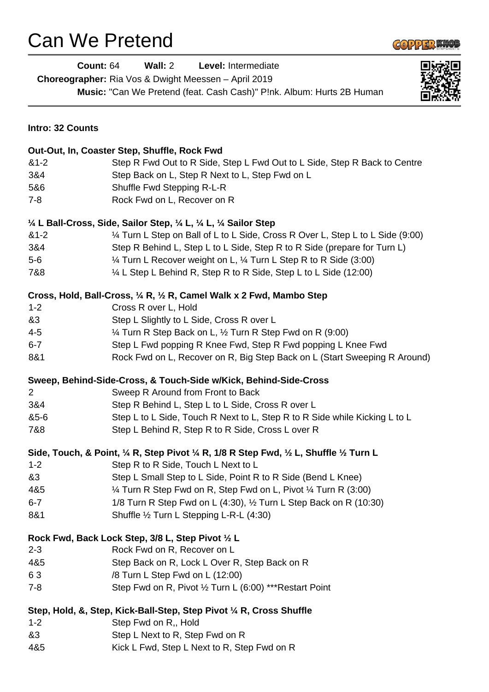## Can We Pretend



|                  | <b>Count: 64</b><br>Wall: 2<br>Level: Intermediate<br>Choreographer: Ria Vos & Dwight Meessen - April 2019<br>Music: "Can We Pretend (feat. Cash Cash)" P!nk. Album: Hurts 2B Human | 电对称面 |
|------------------|-------------------------------------------------------------------------------------------------------------------------------------------------------------------------------------|------|
| Intro: 32 Counts |                                                                                                                                                                                     |      |
|                  | Out-Out, In, Coaster Step, Shuffle, Rock Fwd                                                                                                                                        |      |
| $&1-2$           | Step R Fwd Out to R Side, Step L Fwd Out to L Side, Step R Back to Centre                                                                                                           |      |
| 3&4              | Step Back on L, Step R Next to L, Step Fwd on L                                                                                                                                     |      |
| 5&6              | Shuffle Fwd Stepping R-L-R                                                                                                                                                          |      |
| $7 - 8$          | Rock Fwd on L, Recover on R                                                                                                                                                         |      |
|                  | $\frac{1}{4}$ L Ball-Cross, Side, Sailor Step, $\frac{1}{4}$ L, $\frac{1}{4}$ L, $\frac{1}{4}$ Sailor Step                                                                          |      |
| $&1-2$           | 1⁄4 Turn L Step on Ball of L to L Side, Cross R Over L, Step L to L Side (9:00)                                                                                                     |      |
| 3&4              | Step R Behind L, Step L to L Side, Step R to R Side (prepare for Turn L)                                                                                                            |      |
| $5-6$            | 1/4 Turn L Recover weight on L, 1/4 Turn L Step R to R Side (3:00)                                                                                                                  |      |
| 7&8              | 1/4 L Step L Behind R, Step R to R Side, Step L to L Side (12:00)                                                                                                                   |      |
|                  | Cross, Hold, Ball-Cross, 1/4 R, 1/2 R, Camel Walk x 2 Fwd, Mambo Step                                                                                                               |      |
| $1 - 2$          | Cross R over L, Hold                                                                                                                                                                |      |
| &3               | Step L Slightly to L Side, Cross R over L                                                                                                                                           |      |
| $4 - 5$          | 1/4 Turn R Step Back on L, 1/2 Turn R Step Fwd on R (9:00)                                                                                                                          |      |
| $6 - 7$          | Step L Fwd popping R Knee Fwd, Step R Fwd popping L Knee Fwd                                                                                                                        |      |
| 8&1              | Rock Fwd on L, Recover on R, Big Step Back on L (Start Sweeping R Around)                                                                                                           |      |
|                  | Sweep, Behind-Side-Cross, & Touch-Side w/Kick, Behind-Side-Cross                                                                                                                    |      |
| $\overline{2}$   | Sweep R Around from Front to Back                                                                                                                                                   |      |
| 3&4              | Step R Behind L, Step L to L Side, Cross R over L                                                                                                                                   |      |
| &5-6             | Step L to L Side, Touch R Next to L, Step R to R Side while Kicking L to L                                                                                                          |      |
| 7&8              | Step L Behind R, Step R to R Side, Cross L over R                                                                                                                                   |      |
|                  | Side, Touch, & Point, 1/4 R, Step Pivot 1/4 R, 1/8 R Step Fwd, 1/2 L, Shuffle 1/2 Turn L                                                                                            |      |
| $1 - 2$          | Step R to R Side, Touch L Next to L                                                                                                                                                 |      |
| &3               | Step L Small Step to L Side, Point R to R Side (Bend L Knee)                                                                                                                        |      |
| 4&5              | 1⁄4 Turn R Step Fwd on R, Step Fwd on L, Pivot 1⁄4 Turn R (3:00)                                                                                                                    |      |
| $6 - 7$          | 1/8 Turn R Step Fwd on L (4:30), 1/2 Turn L Step Back on R (10:30)                                                                                                                  |      |
| 8&1              | Shuffle 1/2 Turn L Stepping L-R-L (4:30)                                                                                                                                            |      |
|                  | Rock Fwd, Back Lock Step, 3/8 L, Step Pivot 1/2 L                                                                                                                                   |      |
| $2 - 3$          | Rock Fwd on R, Recover on L                                                                                                                                                         |      |
| 4&5              | Step Back on R, Lock L Over R, Step Back on R                                                                                                                                       |      |
| 63               | /8 Turn L Step Fwd on L (12:00)                                                                                                                                                     |      |
| $7 - 8$          | Step Fwd on R, Pivot 1/2 Turn L (6:00) *** Restart Point                                                                                                                            |      |
|                  | Step, Hold, &, Step, Kick-Ball-Step, Step Pivot 1/4 R, Cross Shuffle                                                                                                                |      |
| $1 - 2$          | Step Fwd on R,, Hold                                                                                                                                                                |      |
| &3               | Step L Next to R, Step Fwd on R                                                                                                                                                     |      |
| 4&5              | Kick L Fwd, Step L Next to R, Step Fwd on R                                                                                                                                         |      |